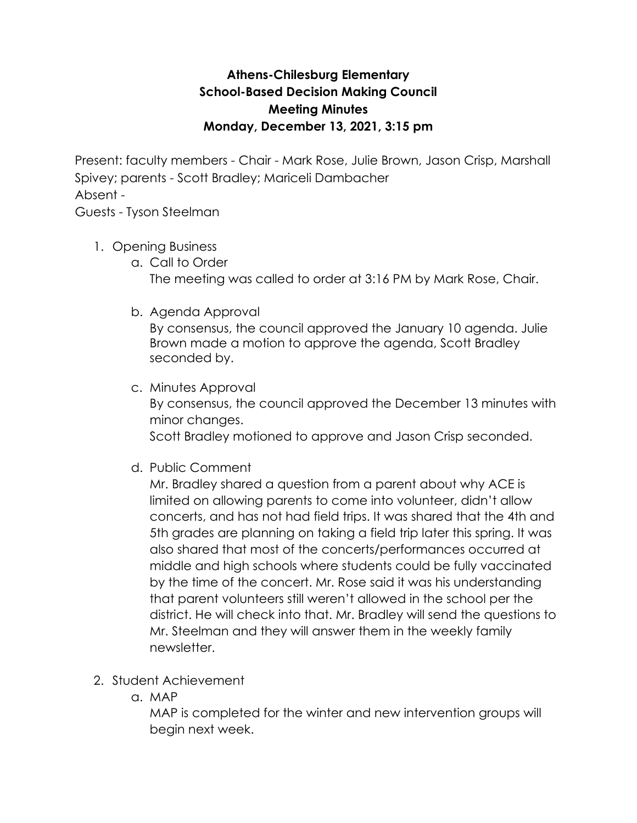## **Athens-Chilesburg Elementary School-Based Decision Making Council Meeting Minutes Monday, December 13, 2021, 3:15 pm**

Present: faculty members - Chair - Mark Rose, Julie Brown, Jason Crisp, Marshall Spivey; parents - Scott Bradley; Mariceli Dambacher Absent -

Guests - Tyson Steelman

- 1. Opening Business
	- a. Call to Order The meeting was called to order at 3:16 PM by Mark Rose, Chair.
	- b. Agenda Approval

By consensus, the council approved the January 10 agenda. Julie Brown made a motion to approve the agenda, Scott Bradley seconded by.

- c. Minutes Approval By consensus, the council approved the December 13 minutes with minor changes. Scott Bradley motioned to approve and Jason Crisp seconded.
- d. Public Comment

Mr. Bradley shared a question from a parent about why ACE is limited on allowing parents to come into volunteer, didn't allow concerts, and has not had field trips. It was shared that the 4th and 5th grades are planning on taking a field trip later this spring. It was also shared that most of the concerts/performances occurred at middle and high schools where students could be fully vaccinated by the time of the concert. Mr. Rose said it was his understanding that parent volunteers still weren't allowed in the school per the district. He will check into that. Mr. Bradley will send the questions to Mr. Steelman and they will answer them in the weekly family newsletter.

- 2. Student Achievement
	- a. MAP

MAP is completed for the winter and new intervention groups will begin next week.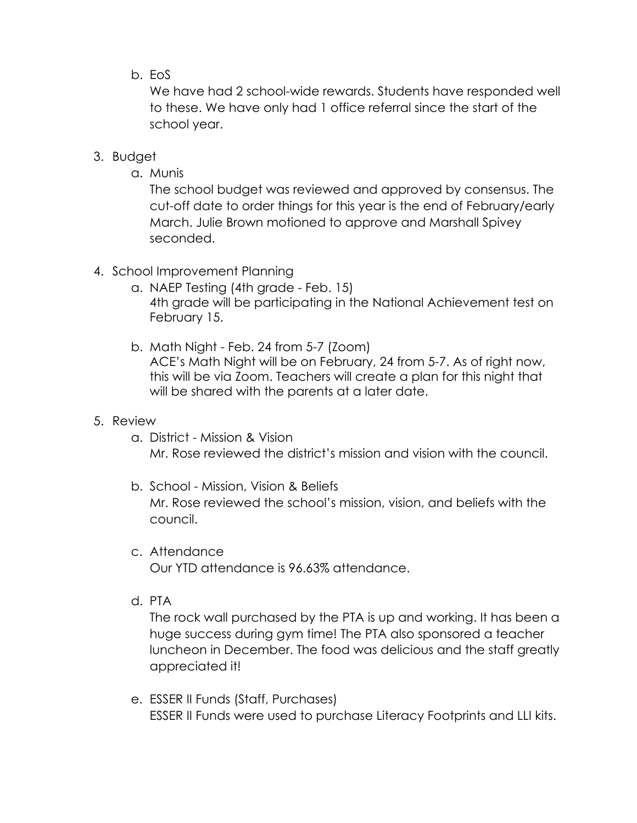## b. EoS

We have had 2 school-wide rewards. Students have responded well to these. We have only had 1 office referral since the start of the school year.

## 3. Budget

a. Munis

The school budget was reviewed and approved by consensus. The cut-off date to order things for this year is the end of February/early March. Julie Brown motioned to approve and Marshall Spivey seconded.

- 4. School Improvement Planning
	- a. NAEP Testing (4th grade Feb. 15) 4th grade will be participating in the National Achievement test on February 15.
	- b. Math Night Feb. 24 from 5-7 (Zoom) ACE's Math Night will be on February, 24 from 5-7. As of right now, this will be via Zoom. Teachers will create a plan for this night that will be shared with the parents at a later date.

## 5. Review

- a. District Mission & Vision Mr. Rose reviewed the district's mission and vision with the council.
- b. School Mission, Vision & Beliefs Mr. Rose reviewed the school's mission, vision, and beliefs with the council.
- c. Attendance

Our YTD attendance is 96.63% attendance.

d. PTA

The rock wall purchased by the PTA is up and working. It has been a huge success during gym time! The PTA also sponsored a teacher luncheon in December. The food was delicious and the staff greatly appreciated it!

e. ESSER II Funds (Staff, Purchases) ESSER II Funds were used to purchase Literacy Footprints and LLI kits.